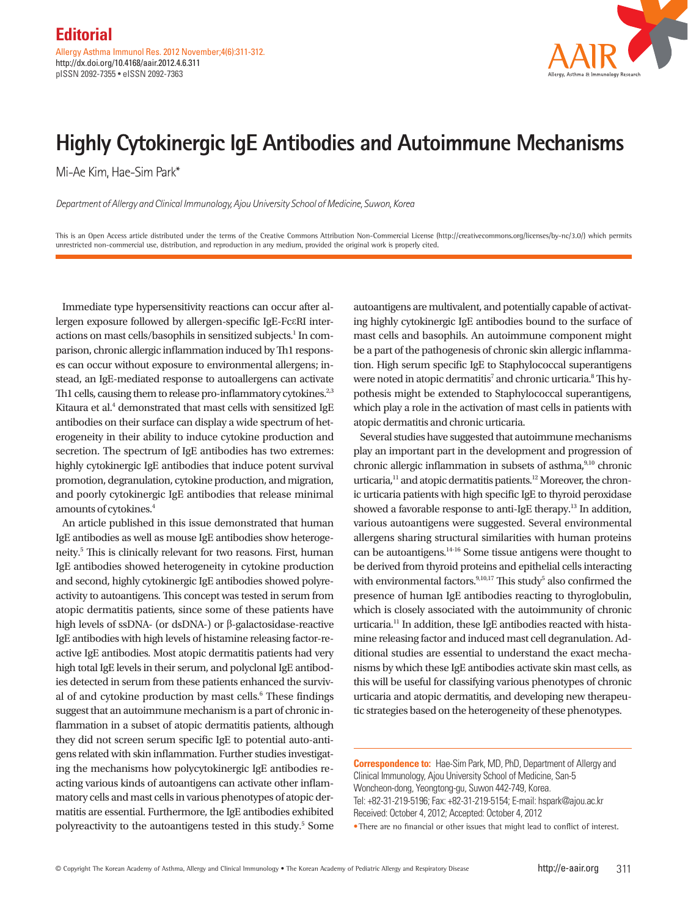

## **Highly Cytokinergic IgE Antibodies and Autoimmune Mechanisms**

Mi-Ae Kim, Hae-Sim Park\*

*Department of Allergy and Clinical Immunology, Ajou University School of Medicine, Suwon, Korea*

This is an Open Access article distributed under the terms of the Creative Commons Attribution Non-Commercial License (http://creativecommons.org/licenses/by-nc/3.0/) which permits unrestricted non-commercial use, distribution, and reproduction in any medium, provided the original work is properly cited.

Immediate type hypersensitivity reactions can occur after allergen exposure followed by allergen-specific IgE-FcεRI interactions on mast cells/basophils in sensitized subjects.<sup>1</sup> In comparison, chronic allergic inflammation induced by Th1 responses can occur without exposure to environmental allergens; instead, an IgE-mediated response to autoallergens can activate Th1 cells, causing them to release pro-inflammatory cytokines.<sup>2,3</sup> Kitaura et al.<sup>4</sup> demonstrated that mast cells with sensitized IgE antibodies on their surface can display a wide spectrum of heterogeneity in their ability to induce cytokine production and secretion. The spectrum of IgE antibodies has two extremes: highly cytokinergic IgE antibodies that induce potent survival promotion, degranulation, cytokine production, and migration, and poorly cytokinergic IgE antibodies that release minimal amounts of cytokines.4

An article published in this issue demonstrated that human IgE antibodies as well as mouse IgE antibodies show heterogeneity.<sup>5</sup> This is clinically relevant for two reasons. First, human IgE antibodies showed heterogeneity in cytokine production and second, highly cytokinergic IgE antibodies showed polyreactivity to autoantigens. This concept was tested in serum from atopic dermatitis patients, since some of these patients have high levels of ssDNA- (or dsDNA-) or β-galactosidase-reactive IgE antibodies with high levels of histamine releasing factor-reactive IgE antibodies. Most atopic dermatitis patients had very high total IgE levels in their serum, and polyclonal IgE antibodies detected in serum from these patients enhanced the survival of and cytokine production by mast cells.<sup>6</sup> These findings suggest that an autoimmune mechanism is a part of chronic inflammation in a subset of atopic dermatitis patients, although they did not screen serum specific IgE to potential auto-antigens related with skin inflammation. Further studies investigating the mechanisms how polycytokinergic IgE antibodies reacting various kinds of autoantigens can activate other inflammatory cells and mast cells in various phenotypes of atopic dermatitis are essential. Furthermore, the IgE antibodies exhibited polyreactivity to the autoantigens tested in this study.<sup>5</sup> Some autoantigens are multivalent, and potentially capable of activating highly cytokinergic IgE antibodies bound to the surface of mast cells and basophils. An autoimmune component might be a part of the pathogenesis of chronic skin allergic inflammation. High serum specific IgE to Staphylococcal superantigens were noted in atopic dermatitis<sup>7</sup> and chronic urticaria.<sup>8</sup> This hypothesis might be extended to Staphylococcal superantigens, which play a role in the activation of mast cells in patients with atopic dermatitis and chronic urticaria.

Several studies have suggested that autoimmune mechanisms play an important part in the development and progression of chronic allergic inflammation in subsets of asthma,<sup>9,10</sup> chronic urticaria,<sup>11</sup> and atopic dermatitis patients.<sup>12</sup> Moreover, the chronic urticaria patients with high specific IgE to thyroid peroxidase showed a favorable response to anti-IgE therapy.13 In addition, various autoantigens were suggested. Several environmental allergens sharing structural similarities with human proteins can be autoantigens.14-16 Some tissue antigens were thought to be derived from thyroid proteins and epithelial cells interacting with environmental factors. $9,10,17$  This study<sup>5</sup> also confirmed the presence of human IgE antibodies reacting to thyroglobulin, which is closely associated with the autoimmunity of chronic urticaria.<sup>11</sup> In addition, these IgE antibodies reacted with histamine releasing factor and induced mast cell degranulation. Additional studies are essential to understand the exact mechanisms by which these IgE antibodies activate skin mast cells, as this will be useful for classifying various phenotypes of chronic urticaria and atopic dermatitis, and developing new therapeutic strategies based on the heterogeneity of these phenotypes.

**Correspondence to:** Hae-Sim Park, MD, PhD, Department of Allergy and Clinical Immunology, Ajou University School of Medicine, San-5 Woncheon-dong, Yeongtong-gu, Suwon 442-749, Korea. Tel: +82-31-219-5196;Fax: +82-31-219-5154; E-mail: hspark@ajou.ac.kr Received: October 4, 2012; Accepted: October 4, 2012

•There are no financial or other issues that might lead to conflict of interest.